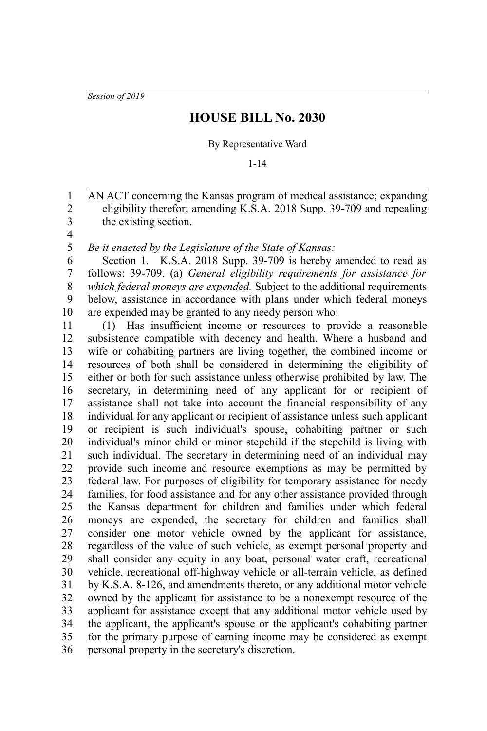*Session of 2019*

## **HOUSE BILL No. 2030**

By Representative Ward

1-14

AN ACT concerning the Kansas program of medical assistance; expanding eligibility therefor; amending K.S.A. 2018 Supp. 39-709 and repealing the existing section. 1 2 3

4 5

*Be it enacted by the Legislature of the State of Kansas:*

Section 1. K.S.A. 2018 Supp. 39-709 is hereby amended to read as follows: 39-709. (a) *General eligibility requirements for assistance for which federal moneys are expended.* Subject to the additional requirements below, assistance in accordance with plans under which federal moneys are expended may be granted to any needy person who: 6 7 8 9 10

(1) Has insufficient income or resources to provide a reasonable subsistence compatible with decency and health. Where a husband and wife or cohabiting partners are living together, the combined income or resources of both shall be considered in determining the eligibility of either or both for such assistance unless otherwise prohibited by law. The secretary, in determining need of any applicant for or recipient of assistance shall not take into account the financial responsibility of any individual for any applicant or recipient of assistance unless such applicant or recipient is such individual's spouse, cohabiting partner or such individual's minor child or minor stepchild if the stepchild is living with such individual. The secretary in determining need of an individual may provide such income and resource exemptions as may be permitted by federal law. For purposes of eligibility for temporary assistance for needy families, for food assistance and for any other assistance provided through the Kansas department for children and families under which federal moneys are expended, the secretary for children and families shall consider one motor vehicle owned by the applicant for assistance, regardless of the value of such vehicle, as exempt personal property and shall consider any equity in any boat, personal water craft, recreational vehicle, recreational off-highway vehicle or all-terrain vehicle, as defined by K.S.A. 8-126, and amendments thereto, or any additional motor vehicle owned by the applicant for assistance to be a nonexempt resource of the applicant for assistance except that any additional motor vehicle used by the applicant, the applicant's spouse or the applicant's cohabiting partner for the primary purpose of earning income may be considered as exempt personal property in the secretary's discretion. 11 12 13 14 15 16 17 18 19 20 21 22 23 24 25 26 27 28 29 30 31 32 33 34 35 36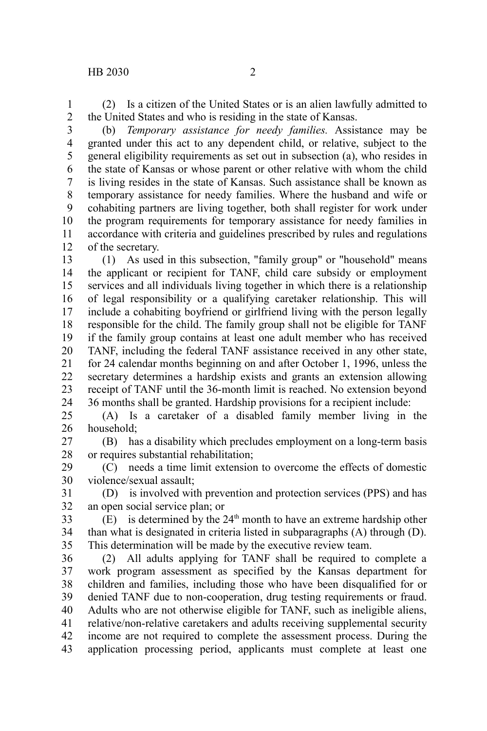(2) Is a citizen of the United States or is an alien lawfully admitted to the United States and who is residing in the state of Kansas. 1 2

(b) *Temporary assistance for needy families.* Assistance may be granted under this act to any dependent child, or relative, subject to the general eligibility requirements as set out in subsection (a), who resides in the state of Kansas or whose parent or other relative with whom the child is living resides in the state of Kansas. Such assistance shall be known as temporary assistance for needy families. Where the husband and wife or cohabiting partners are living together, both shall register for work under the program requirements for temporary assistance for needy families in accordance with criteria and guidelines prescribed by rules and regulations of the secretary. 3 4 5 6 7 8 9 10 11 12

(1) As used in this subsection, "family group" or "household" means the applicant or recipient for TANF, child care subsidy or employment services and all individuals living together in which there is a relationship of legal responsibility or a qualifying caretaker relationship. This will include a cohabiting boyfriend or girlfriend living with the person legally responsible for the child. The family group shall not be eligible for TANF if the family group contains at least one adult member who has received TANF, including the federal TANF assistance received in any other state, for 24 calendar months beginning on and after October 1, 1996, unless the secretary determines a hardship exists and grants an extension allowing receipt of TANF until the 36-month limit is reached. No extension beyond 36 months shall be granted. Hardship provisions for a recipient include: 13 14 15 16 17 18 19 20 21 22 23 24

(A) Is a caretaker of a disabled family member living in the household; 25 26

(B) has a disability which precludes employment on a long-term basis or requires substantial rehabilitation; 27 28

(C) needs a time limit extension to overcome the effects of domestic violence/sexual assault; 29 30

(D) is involved with prevention and protection services (PPS) and has an open social service plan; or 31 32

 $(E)$  is determined by the 24<sup>th</sup> month to have an extreme hardship other than what is designated in criteria listed in subparagraphs (A) through (D). This determination will be made by the executive review team. 33 34 35

(2) All adults applying for TANF shall be required to complete a work program assessment as specified by the Kansas department for children and families, including those who have been disqualified for or denied TANF due to non-cooperation, drug testing requirements or fraud. Adults who are not otherwise eligible for TANF, such as ineligible aliens, relative/non-relative caretakers and adults receiving supplemental security income are not required to complete the assessment process. During the application processing period, applicants must complete at least one 36 37 38 39 40 41 42 43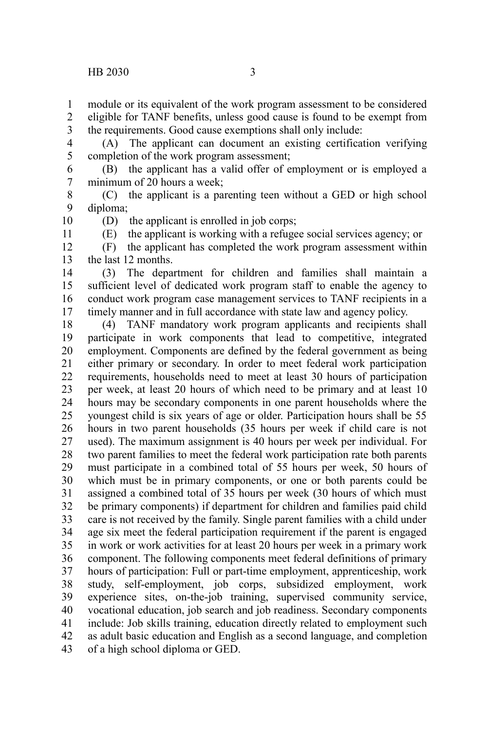11

module or its equivalent of the work program assessment to be considered eligible for TANF benefits, unless good cause is found to be exempt from the requirements. Good cause exemptions shall only include: 1 2 3

(A) The applicant can document an existing certification verifying completion of the work program assessment; 4 5

(B) the applicant has a valid offer of employment or is employed a minimum of 20 hours a week; 6 7

(C) the applicant is a parenting teen without a GED or high school diploma; 8 9 10

(D) the applicant is enrolled in job corps;

(E) the applicant is working with a refugee social services agency; or

(F) the applicant has completed the work program assessment within the last 12 months. 12 13

(3) The department for children and families shall maintain a sufficient level of dedicated work program staff to enable the agency to conduct work program case management services to TANF recipients in a timely manner and in full accordance with state law and agency policy. 14 15 16 17

(4) TANF mandatory work program applicants and recipients shall participate in work components that lead to competitive, integrated employment. Components are defined by the federal government as being either primary or secondary. In order to meet federal work participation requirements, households need to meet at least 30 hours of participation per week, at least 20 hours of which need to be primary and at least 10 hours may be secondary components in one parent households where the youngest child is six years of age or older. Participation hours shall be 55 hours in two parent households (35 hours per week if child care is not used). The maximum assignment is 40 hours per week per individual. For two parent families to meet the federal work participation rate both parents must participate in a combined total of 55 hours per week, 50 hours of which must be in primary components, or one or both parents could be assigned a combined total of 35 hours per week (30 hours of which must be primary components) if department for children and families paid child care is not received by the family. Single parent families with a child under age six meet the federal participation requirement if the parent is engaged in work or work activities for at least 20 hours per week in a primary work component. The following components meet federal definitions of primary hours of participation: Full or part-time employment, apprenticeship, work study, self-employment, job corps, subsidized employment, work experience sites, on-the-job training, supervised community service, vocational education, job search and job readiness. Secondary components include: Job skills training, education directly related to employment such as adult basic education and English as a second language, and completion of a high school diploma or GED. 18 19 20 21 22 23 24 25 26 27 28 29 30 31 32 33 34 35 36 37 38 39 40 41 42 43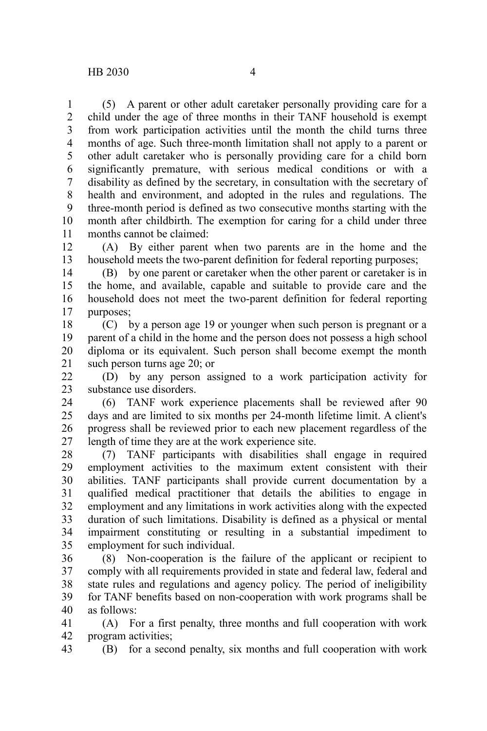(5) A parent or other adult caretaker personally providing care for a child under the age of three months in their TANF household is exempt from work participation activities until the month the child turns three months of age. Such three-month limitation shall not apply to a parent or other adult caretaker who is personally providing care for a child born significantly premature, with serious medical conditions or with a disability as defined by the secretary, in consultation with the secretary of health and environment, and adopted in the rules and regulations. The three-month period is defined as two consecutive months starting with the month after childbirth. The exemption for caring for a child under three months cannot be claimed: 1 2 3 4 5 6 7 8 9 10 11

(A) By either parent when two parents are in the home and the household meets the two-parent definition for federal reporting purposes; 12 13

(B) by one parent or caretaker when the other parent or caretaker is in the home, and available, capable and suitable to provide care and the household does not meet the two-parent definition for federal reporting purposes; 14 15 16 17

(C) by a person age 19 or younger when such person is pregnant or a parent of a child in the home and the person does not possess a high school diploma or its equivalent. Such person shall become exempt the month such person turns age 20; or 18 19 20 21

(D) by any person assigned to a work participation activity for substance use disorders. 22 23

(6) TANF work experience placements shall be reviewed after 90 days and are limited to six months per 24-month lifetime limit. A client's progress shall be reviewed prior to each new placement regardless of the length of time they are at the work experience site. 24 25 26 27

(7) TANF participants with disabilities shall engage in required employment activities to the maximum extent consistent with their abilities. TANF participants shall provide current documentation by a qualified medical practitioner that details the abilities to engage in employment and any limitations in work activities along with the expected duration of such limitations. Disability is defined as a physical or mental impairment constituting or resulting in a substantial impediment to employment for such individual. 28 29 30 31 32 33 34 35

(8) Non-cooperation is the failure of the applicant or recipient to comply with all requirements provided in state and federal law, federal and state rules and regulations and agency policy. The period of ineligibility for TANF benefits based on non-cooperation with work programs shall be as follows: 36 37 38 39 40

(A) For a first penalty, three months and full cooperation with work program activities; 41 42

(B) for a second penalty, six months and full cooperation with work 43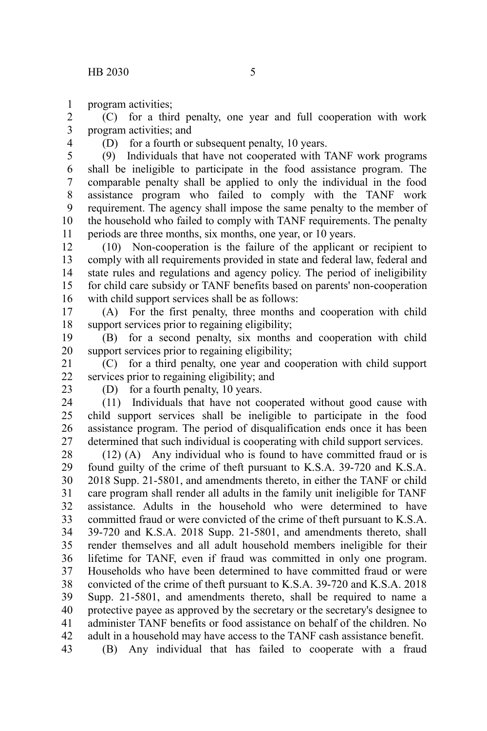program activities; 1

(C) for a third penalty, one year and full cooperation with work program activities; and 2 3

4

(D) for a fourth or subsequent penalty, 10 years.

(9) Individuals that have not cooperated with TANF work programs shall be ineligible to participate in the food assistance program. The comparable penalty shall be applied to only the individual in the food assistance program who failed to comply with the TANF work requirement. The agency shall impose the same penalty to the member of the household who failed to comply with TANF requirements. The penalty periods are three months, six months, one year, or 10 years. 5 6 7 8 9 10 11

(10) Non-cooperation is the failure of the applicant or recipient to comply with all requirements provided in state and federal law, federal and state rules and regulations and agency policy. The period of ineligibility for child care subsidy or TANF benefits based on parents' non-cooperation with child support services shall be as follows: 12 13 14 15 16

(A) For the first penalty, three months and cooperation with child support services prior to regaining eligibility; 17 18

(B) for a second penalty, six months and cooperation with child support services prior to regaining eligibility; 19 20

(C) for a third penalty, one year and cooperation with child support services prior to regaining eligibility; and 21 22

23

(D) for a fourth penalty, 10 years.

(11) Individuals that have not cooperated without good cause with child support services shall be ineligible to participate in the food assistance program. The period of disqualification ends once it has been determined that such individual is cooperating with child support services. 24 25 26 27

(12) (A) Any individual who is found to have committed fraud or is found guilty of the crime of theft pursuant to K.S.A. 39-720 and K.S.A. 2018 Supp. 21-5801, and amendments thereto, in either the TANF or child care program shall render all adults in the family unit ineligible for TANF assistance. Adults in the household who were determined to have committed fraud or were convicted of the crime of theft pursuant to K.S.A. 39-720 and K.S.A. 2018 Supp. 21-5801, and amendments thereto, shall render themselves and all adult household members ineligible for their lifetime for TANF, even if fraud was committed in only one program. Households who have been determined to have committed fraud or were convicted of the crime of theft pursuant to K.S.A. 39-720 and K.S.A. 2018 Supp. 21-5801, and amendments thereto, shall be required to name a protective payee as approved by the secretary or the secretary's designee to administer TANF benefits or food assistance on behalf of the children. No adult in a household may have access to the TANF cash assistance benefit. (B) Any individual that has failed to cooperate with a fraud 28 29 30 31 32 33 34 35 36 37 38 39 40 41 42 43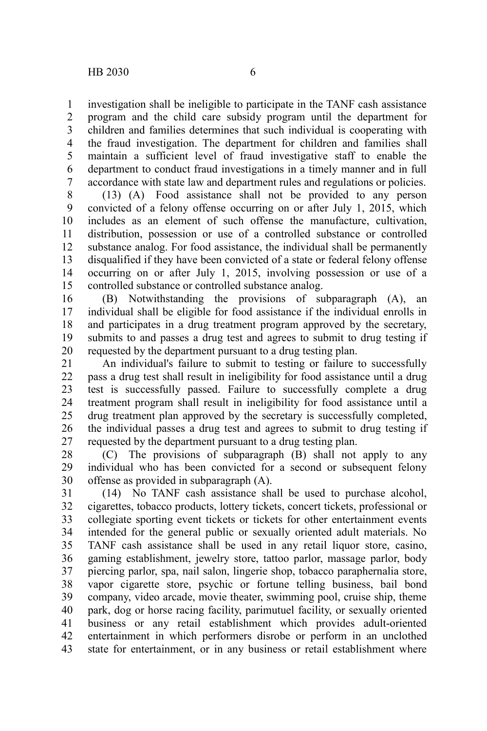investigation shall be ineligible to participate in the TANF cash assistance program and the child care subsidy program until the department for children and families determines that such individual is cooperating with the fraud investigation. The department for children and families shall

maintain a sufficient level of fraud investigative staff to enable the department to conduct fraud investigations in a timely manner and in full accordance with state law and department rules and regulations or policies. 5 6 7

(13) (A) Food assistance shall not be provided to any person convicted of a felony offense occurring on or after July 1, 2015, which includes as an element of such offense the manufacture, cultivation, distribution, possession or use of a controlled substance or controlled substance analog. For food assistance, the individual shall be permanently disqualified if they have been convicted of a state or federal felony offense occurring on or after July 1, 2015, involving possession or use of a controlled substance or controlled substance analog. 8 9 10 11 12 13 14 15

(B) Notwithstanding the provisions of subparagraph (A), an individual shall be eligible for food assistance if the individual enrolls in and participates in a drug treatment program approved by the secretary, submits to and passes a drug test and agrees to submit to drug testing if requested by the department pursuant to a drug testing plan. 16 17 18 19 20

An individual's failure to submit to testing or failure to successfully pass a drug test shall result in ineligibility for food assistance until a drug test is successfully passed. Failure to successfully complete a drug treatment program shall result in ineligibility for food assistance until a drug treatment plan approved by the secretary is successfully completed, the individual passes a drug test and agrees to submit to drug testing if requested by the department pursuant to a drug testing plan. 21 22 23 24 25 26 27

(C) The provisions of subparagraph (B) shall not apply to any individual who has been convicted for a second or subsequent felony offense as provided in subparagraph (A). 28 29 30

(14) No TANF cash assistance shall be used to purchase alcohol, cigarettes, tobacco products, lottery tickets, concert tickets, professional or collegiate sporting event tickets or tickets for other entertainment events intended for the general public or sexually oriented adult materials. No TANF cash assistance shall be used in any retail liquor store, casino, gaming establishment, jewelry store, tattoo parlor, massage parlor, body piercing parlor, spa, nail salon, lingerie shop, tobacco paraphernalia store, vapor cigarette store, psychic or fortune telling business, bail bond company, video arcade, movie theater, swimming pool, cruise ship, theme park, dog or horse racing facility, parimutuel facility, or sexually oriented business or any retail establishment which provides adult-oriented entertainment in which performers disrobe or perform in an unclothed state for entertainment, or in any business or retail establishment where 31 32 33 34 35 36 37 38 39 40 41 42 43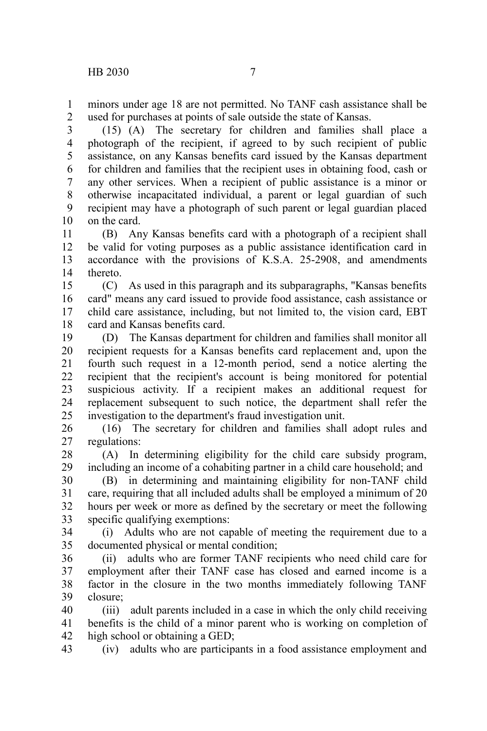minors under age 18 are not permitted. No TANF cash assistance shall be used for purchases at points of sale outside the state of Kansas. 1 2

(15) (A) The secretary for children and families shall place a photograph of the recipient, if agreed to by such recipient of public assistance, on any Kansas benefits card issued by the Kansas department for children and families that the recipient uses in obtaining food, cash or any other services. When a recipient of public assistance is a minor or otherwise incapacitated individual, a parent or legal guardian of such recipient may have a photograph of such parent or legal guardian placed on the card. 3 4 5 6 7 8 9 10

(B) Any Kansas benefits card with a photograph of a recipient shall be valid for voting purposes as a public assistance identification card in accordance with the provisions of K.S.A. 25-2908, and amendments thereto. 11 12 13 14

(C) As used in this paragraph and its subparagraphs, "Kansas benefits card" means any card issued to provide food assistance, cash assistance or child care assistance, including, but not limited to, the vision card, EBT card and Kansas benefits card. 15 16 17 18

(D) The Kansas department for children and families shall monitor all recipient requests for a Kansas benefits card replacement and, upon the fourth such request in a 12-month period, send a notice alerting the recipient that the recipient's account is being monitored for potential suspicious activity. If a recipient makes an additional request for replacement subsequent to such notice, the department shall refer the investigation to the department's fraud investigation unit. 19 20 21 22 23 24 25

(16) The secretary for children and families shall adopt rules and regulations: 26 27

(A) In determining eligibility for the child care subsidy program, including an income of a cohabiting partner in a child care household; and 28 29

(B) in determining and maintaining eligibility for non-TANF child care, requiring that all included adults shall be employed a minimum of 20 hours per week or more as defined by the secretary or meet the following specific qualifying exemptions: 30 31 32 33

(i) Adults who are not capable of meeting the requirement due to a documented physical or mental condition; 34 35

(ii) adults who are former TANF recipients who need child care for employment after their TANF case has closed and earned income is a factor in the closure in the two months immediately following TANF closure; 36 37 38 39

(iii) adult parents included in a case in which the only child receiving benefits is the child of a minor parent who is working on completion of high school or obtaining a GED; 40 41 42

(iv) adults who are participants in a food assistance employment and 43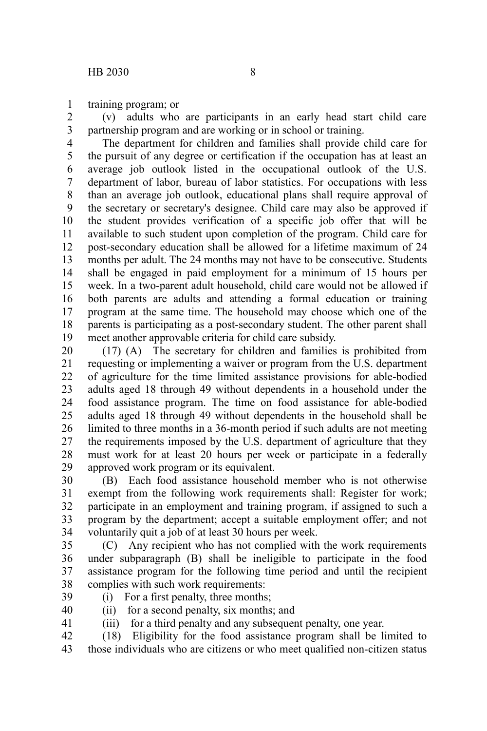training program; or 1

(v) adults who are participants in an early head start child care partnership program and are working or in school or training. 2 3

The department for children and families shall provide child care for the pursuit of any degree or certification if the occupation has at least an average job outlook listed in the occupational outlook of the U.S. department of labor, bureau of labor statistics. For occupations with less than an average job outlook, educational plans shall require approval of the secretary or secretary's designee. Child care may also be approved if the student provides verification of a specific job offer that will be available to such student upon completion of the program. Child care for post-secondary education shall be allowed for a lifetime maximum of 24 months per adult. The 24 months may not have to be consecutive. Students shall be engaged in paid employment for a minimum of 15 hours per week. In a two-parent adult household, child care would not be allowed if both parents are adults and attending a formal education or training program at the same time. The household may choose which one of the parents is participating as a post-secondary student. The other parent shall meet another approvable criteria for child care subsidy. 4 5 6 7 8 9 10 11 12 13 14 15 16 17 18 19

(17) (A) The secretary for children and families is prohibited from requesting or implementing a waiver or program from the U.S. department of agriculture for the time limited assistance provisions for able-bodied adults aged 18 through 49 without dependents in a household under the food assistance program. The time on food assistance for able-bodied adults aged 18 through 49 without dependents in the household shall be limited to three months in a 36-month period if such adults are not meeting the requirements imposed by the U.S. department of agriculture that they must work for at least 20 hours per week or participate in a federally approved work program or its equivalent. 20 21 22 23 24 25 26 27 28 29

(B) Each food assistance household member who is not otherwise exempt from the following work requirements shall: Register for work; participate in an employment and training program, if assigned to such a program by the department; accept a suitable employment offer; and not voluntarily quit a job of at least 30 hours per week. 30 31 32 33 34

(C) Any recipient who has not complied with the work requirements under subparagraph (B) shall be ineligible to participate in the food assistance program for the following time period and until the recipient complies with such work requirements: 35 36 37 38

39

(i) For a first penalty, three months; (ii) for a second penalty, six months; and

40 41

(iii) for a third penalty and any subsequent penalty, one year.

(18) Eligibility for the food assistance program shall be limited to those individuals who are citizens or who meet qualified non-citizen status 42 43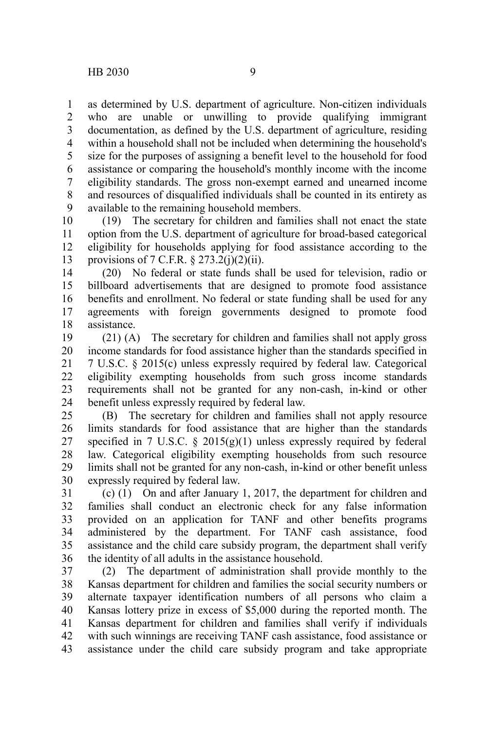as determined by U.S. department of agriculture. Non-citizen individuals who are unable or unwilling to provide qualifying immigrant documentation, as defined by the U.S. department of agriculture, residing within a household shall not be included when determining the household's size for the purposes of assigning a benefit level to the household for food assistance or comparing the household's monthly income with the income eligibility standards. The gross non-exempt earned and unearned income and resources of disqualified individuals shall be counted in its entirety as available to the remaining household members. 1 2 3 4 5 6 7 8 9

(19) The secretary for children and families shall not enact the state option from the U.S. department of agriculture for broad-based categorical eligibility for households applying for food assistance according to the provisions of 7 C.F.R.  $\S 273.2(j)(2)(ii)$ . 10 11 12 13

(20) No federal or state funds shall be used for television, radio or billboard advertisements that are designed to promote food assistance benefits and enrollment. No federal or state funding shall be used for any agreements with foreign governments designed to promote food assistance. 14 15 16 17 18

(21) (A) The secretary for children and families shall not apply gross income standards for food assistance higher than the standards specified in 7 U.S.C. § 2015(c) unless expressly required by federal law. Categorical eligibility exempting households from such gross income standards requirements shall not be granted for any non-cash, in-kind or other benefit unless expressly required by federal law. 19 20 21 22 23 24

(B) The secretary for children and families shall not apply resource limits standards for food assistance that are higher than the standards specified in 7 U.S.C.  $\S$  2015(g)(1) unless expressly required by federal law. Categorical eligibility exempting households from such resource limits shall not be granted for any non-cash, in-kind or other benefit unless expressly required by federal law. 25 26 27 28 29 30

(c) (1) On and after January 1, 2017, the department for children and families shall conduct an electronic check for any false information provided on an application for TANF and other benefits programs administered by the department. For TANF cash assistance, food assistance and the child care subsidy program, the department shall verify the identity of all adults in the assistance household. 31 32 33 34 35 36

(2) The department of administration shall provide monthly to the Kansas department for children and families the social security numbers or alternate taxpayer identification numbers of all persons who claim a Kansas lottery prize in excess of \$5,000 during the reported month. The Kansas department for children and families shall verify if individuals with such winnings are receiving TANF cash assistance, food assistance or assistance under the child care subsidy program and take appropriate 37 38 39 40 41 42 43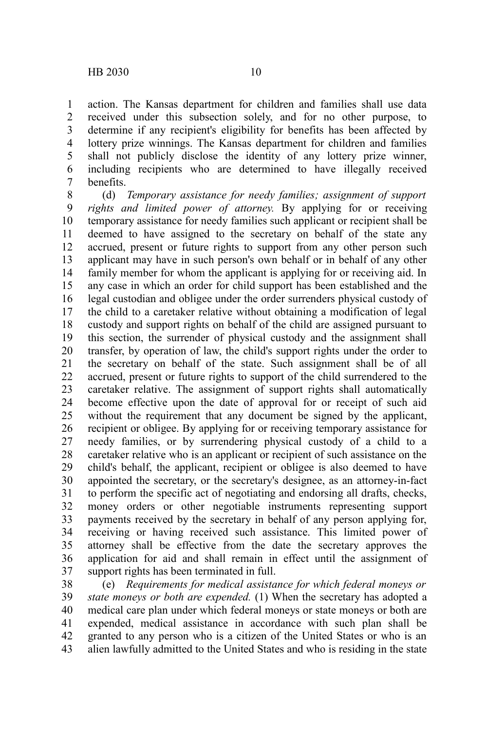action. The Kansas department for children and families shall use data received under this subsection solely, and for no other purpose, to determine if any recipient's eligibility for benefits has been affected by lottery prize winnings. The Kansas department for children and families shall not publicly disclose the identity of any lottery prize winner, including recipients who are determined to have illegally received benefits. 1 2 3 4 5 6 7

(d) *Temporary assistance for needy families; assignment of support rights and limited power of attorney.* By applying for or receiving temporary assistance for needy families such applicant or recipient shall be deemed to have assigned to the secretary on behalf of the state any accrued, present or future rights to support from any other person such applicant may have in such person's own behalf or in behalf of any other family member for whom the applicant is applying for or receiving aid. In any case in which an order for child support has been established and the legal custodian and obligee under the order surrenders physical custody of the child to a caretaker relative without obtaining a modification of legal custody and support rights on behalf of the child are assigned pursuant to this section, the surrender of physical custody and the assignment shall transfer, by operation of law, the child's support rights under the order to the secretary on behalf of the state. Such assignment shall be of all accrued, present or future rights to support of the child surrendered to the caretaker relative. The assignment of support rights shall automatically become effective upon the date of approval for or receipt of such aid without the requirement that any document be signed by the applicant, recipient or obligee. By applying for or receiving temporary assistance for needy families, or by surrendering physical custody of a child to a caretaker relative who is an applicant or recipient of such assistance on the child's behalf, the applicant, recipient or obligee is also deemed to have appointed the secretary, or the secretary's designee, as an attorney-in-fact to perform the specific act of negotiating and endorsing all drafts, checks, money orders or other negotiable instruments representing support payments received by the secretary in behalf of any person applying for, receiving or having received such assistance. This limited power of attorney shall be effective from the date the secretary approves the application for aid and shall remain in effect until the assignment of support rights has been terminated in full. 8 9 10 11 12 13 14 15 16 17 18 19 20 21 22 23 24 25 26 27 28 29 30 31 32 33 34 35 36 37

(e) *Requirements for medical assistance for which federal moneys or state moneys or both are expended.* (1) When the secretary has adopted a medical care plan under which federal moneys or state moneys or both are expended, medical assistance in accordance with such plan shall be granted to any person who is a citizen of the United States or who is an alien lawfully admitted to the United States and who is residing in the state 38 39 40 41 42 43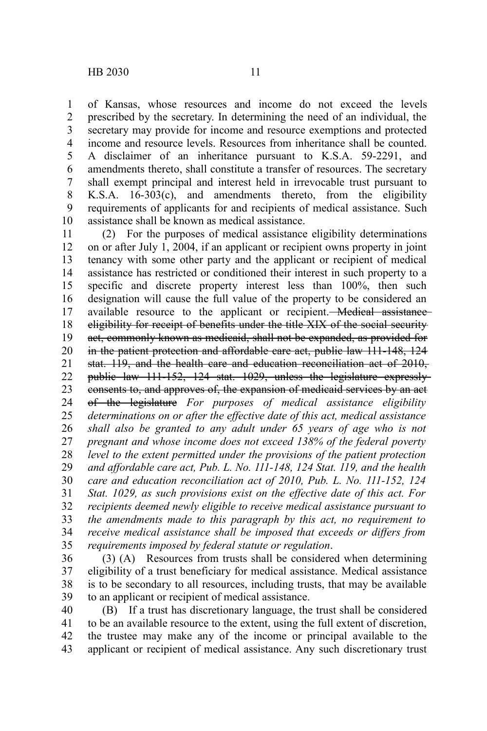of Kansas, whose resources and income do not exceed the levels prescribed by the secretary. In determining the need of an individual, the secretary may provide for income and resource exemptions and protected income and resource levels. Resources from inheritance shall be counted. A disclaimer of an inheritance pursuant to K.S.A. 59-2291, and amendments thereto, shall constitute a transfer of resources. The secretary shall exempt principal and interest held in irrevocable trust pursuant to K.S.A. 16-303(c), and amendments thereto, from the eligibility requirements of applicants for and recipients of medical assistance. Such assistance shall be known as medical assistance. 1 2 3 4 5 6 7 8 9 10

(2) For the purposes of medical assistance eligibility determinations on or after July 1, 2004, if an applicant or recipient owns property in joint tenancy with some other party and the applicant or recipient of medical assistance has restricted or conditioned their interest in such property to a specific and discrete property interest less than 100%, then such designation will cause the full value of the property to be considered an available resource to the applicant or recipient. Medical assistance eligibility for receipt of benefits under the title XIX of the social security act, commonly known as medicaid, shall not be expanded, as provided for in the patient protection and affordable care act, public law 111-148, 124 stat. 119, and the health care and education reconciliation act of 2010, public law 111-152, 124 stat. 1029, unless the legislature expressly consents to, and approves of, the expansion of medicaid services by an act of the legislature *For purposes of medical assistance eligibility determinations on or after the effective date of this act, medical assistance shall also be granted to any adult under 65 years of age who is not pregnant and whose income does not exceed 138% of the federal poverty level to the extent permitted under the provisions of the patient protection and affordable care act, Pub. L. No. 111-148, 124 Stat. 119, and the health care and education reconciliation act of 2010, Pub. L. No. 111-152, 124 Stat. 1029, as such provisions exist on the effective date of this act. For recipients deemed newly eligible to receive medical assistance pursuant to the amendments made to this paragraph by this act, no requirement to receive medical assistance shall be imposed that exceeds or differs from requirements imposed by federal statute or regulation*. 11 12 13 14 15 16 17 18 19 20 21 22 23 24 25 26 27 28 29 30 31 32 33 34 35

(3) (A) Resources from trusts shall be considered when determining eligibility of a trust beneficiary for medical assistance. Medical assistance is to be secondary to all resources, including trusts, that may be available to an applicant or recipient of medical assistance. 36 37 38 39

(B) If a trust has discretionary language, the trust shall be considered to be an available resource to the extent, using the full extent of discretion, the trustee may make any of the income or principal available to the applicant or recipient of medical assistance. Any such discretionary trust 40 41 42 43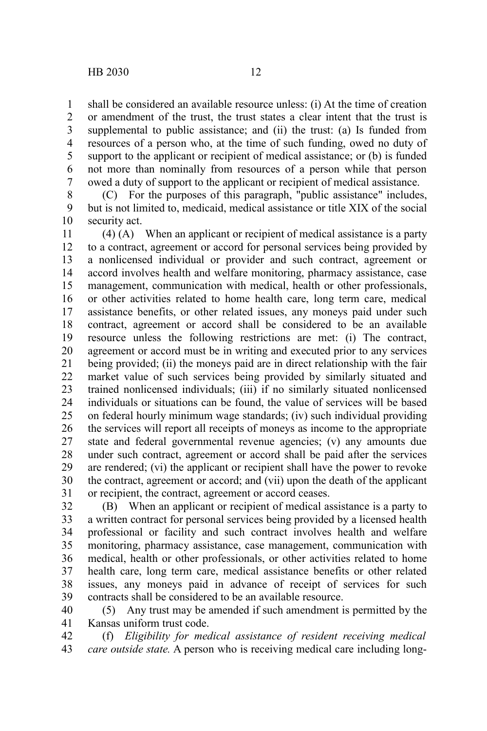shall be considered an available resource unless: (i) At the time of creation or amendment of the trust, the trust states a clear intent that the trust is supplemental to public assistance; and (ii) the trust: (a) Is funded from resources of a person who, at the time of such funding, owed no duty of support to the applicant or recipient of medical assistance; or (b) is funded not more than nominally from resources of a person while that person owed a duty of support to the applicant or recipient of medical assistance. 1 2 3 4 5 6 7

(C) For the purposes of this paragraph, "public assistance" includes, but is not limited to, medicaid, medical assistance or title XIX of the social security act. 8 9 10

(4) (A) When an applicant or recipient of medical assistance is a party to a contract, agreement or accord for personal services being provided by a nonlicensed individual or provider and such contract, agreement or accord involves health and welfare monitoring, pharmacy assistance, case management, communication with medical, health or other professionals, or other activities related to home health care, long term care, medical assistance benefits, or other related issues, any moneys paid under such contract, agreement or accord shall be considered to be an available resource unless the following restrictions are met: (i) The contract, agreement or accord must be in writing and executed prior to any services being provided; (ii) the moneys paid are in direct relationship with the fair market value of such services being provided by similarly situated and trained nonlicensed individuals; (iii) if no similarly situated nonlicensed individuals or situations can be found, the value of services will be based on federal hourly minimum wage standards; (iv) such individual providing the services will report all receipts of moneys as income to the appropriate state and federal governmental revenue agencies; (v) any amounts due under such contract, agreement or accord shall be paid after the services are rendered; (vi) the applicant or recipient shall have the power to revoke the contract, agreement or accord; and (vii) upon the death of the applicant or recipient, the contract, agreement or accord ceases. 11 12 13 14 15 16 17 18 19 20 21 22 23 24 25 26 27 28 29 30 31

(B) When an applicant or recipient of medical assistance is a party to a written contract for personal services being provided by a licensed health professional or facility and such contract involves health and welfare monitoring, pharmacy assistance, case management, communication with medical, health or other professionals, or other activities related to home health care, long term care, medical assistance benefits or other related issues, any moneys paid in advance of receipt of services for such contracts shall be considered to be an available resource. 32 33 34 35 36 37 38 39

(5) Any trust may be amended if such amendment is permitted by the Kansas uniform trust code. 40 41

(f) *Eligibility for medical assistance of resident receiving medical care outside state.* A person who is receiving medical care including long-42 43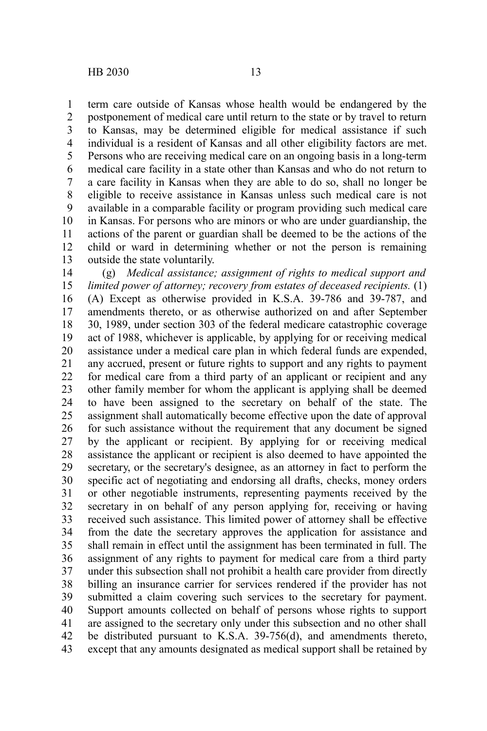term care outside of Kansas whose health would be endangered by the postponement of medical care until return to the state or by travel to return to Kansas, may be determined eligible for medical assistance if such individual is a resident of Kansas and all other eligibility factors are met. Persons who are receiving medical care on an ongoing basis in a long-term medical care facility in a state other than Kansas and who do not return to a care facility in Kansas when they are able to do so, shall no longer be eligible to receive assistance in Kansas unless such medical care is not available in a comparable facility or program providing such medical care in Kansas. For persons who are minors or who are under guardianship, the actions of the parent or guardian shall be deemed to be the actions of the child or ward in determining whether or not the person is remaining outside the state voluntarily. 1 2 3 4 5 6 7 8 9 10 11 12 13

(g) *Medical assistance; assignment of rights to medical support and limited power of attorney; recovery from estates of deceased recipients.* (1) (A) Except as otherwise provided in K.S.A. 39-786 and 39-787, and amendments thereto, or as otherwise authorized on and after September 30, 1989, under section 303 of the federal medicare catastrophic coverage act of 1988, whichever is applicable, by applying for or receiving medical assistance under a medical care plan in which federal funds are expended, any accrued, present or future rights to support and any rights to payment for medical care from a third party of an applicant or recipient and any other family member for whom the applicant is applying shall be deemed to have been assigned to the secretary on behalf of the state. The assignment shall automatically become effective upon the date of approval for such assistance without the requirement that any document be signed by the applicant or recipient. By applying for or receiving medical assistance the applicant or recipient is also deemed to have appointed the secretary, or the secretary's designee, as an attorney in fact to perform the specific act of negotiating and endorsing all drafts, checks, money orders or other negotiable instruments, representing payments received by the secretary in on behalf of any person applying for, receiving or having received such assistance. This limited power of attorney shall be effective from the date the secretary approves the application for assistance and shall remain in effect until the assignment has been terminated in full. The assignment of any rights to payment for medical care from a third party under this subsection shall not prohibit a health care provider from directly billing an insurance carrier for services rendered if the provider has not submitted a claim covering such services to the secretary for payment. Support amounts collected on behalf of persons whose rights to support are assigned to the secretary only under this subsection and no other shall be distributed pursuant to K.S.A. 39-756(d), and amendments thereto, except that any amounts designated as medical support shall be retained by 14 15 16 17 18 19 20 21 22 23 24 25 26 27 28 29 30 31 32 33 34 35 36 37 38 39 40 41 42 43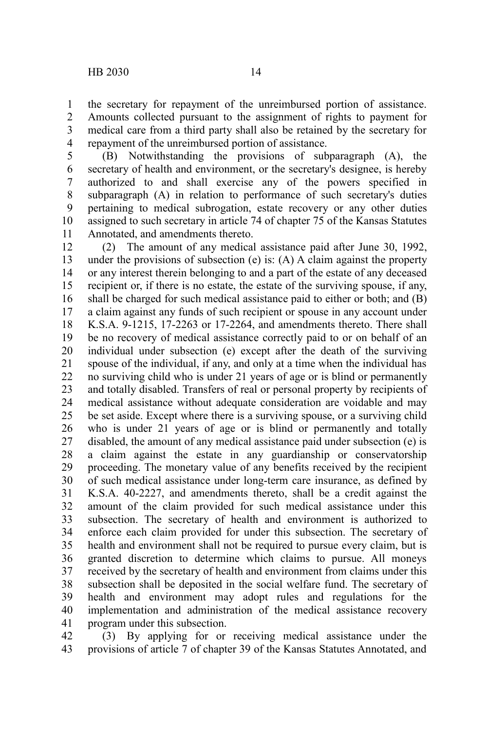the secretary for repayment of the unreimbursed portion of assistance. Amounts collected pursuant to the assignment of rights to payment for medical care from a third party shall also be retained by the secretary for repayment of the unreimbursed portion of assistance. 1 2 3 4

(B) Notwithstanding the provisions of subparagraph (A), the secretary of health and environment, or the secretary's designee, is hereby authorized to and shall exercise any of the powers specified in subparagraph (A) in relation to performance of such secretary's duties pertaining to medical subrogation, estate recovery or any other duties assigned to such secretary in article 74 of chapter 75 of the Kansas Statutes Annotated, and amendments thereto. 5 6 7 8 9 10 11

(2) The amount of any medical assistance paid after June 30, 1992, under the provisions of subsection (e) is: (A) A claim against the property or any interest therein belonging to and a part of the estate of any deceased recipient or, if there is no estate, the estate of the surviving spouse, if any, shall be charged for such medical assistance paid to either or both; and (B) a claim against any funds of such recipient or spouse in any account under K.S.A. 9-1215, 17-2263 or 17-2264, and amendments thereto. There shall be no recovery of medical assistance correctly paid to or on behalf of an individual under subsection (e) except after the death of the surviving spouse of the individual, if any, and only at a time when the individual has no surviving child who is under 21 years of age or is blind or permanently and totally disabled. Transfers of real or personal property by recipients of medical assistance without adequate consideration are voidable and may be set aside. Except where there is a surviving spouse, or a surviving child who is under 21 years of age or is blind or permanently and totally disabled, the amount of any medical assistance paid under subsection (e) is a claim against the estate in any guardianship or conservatorship proceeding. The monetary value of any benefits received by the recipient of such medical assistance under long-term care insurance, as defined by K.S.A. 40-2227, and amendments thereto, shall be a credit against the amount of the claim provided for such medical assistance under this subsection. The secretary of health and environment is authorized to enforce each claim provided for under this subsection. The secretary of health and environment shall not be required to pursue every claim, but is granted discretion to determine which claims to pursue. All moneys received by the secretary of health and environment from claims under this subsection shall be deposited in the social welfare fund. The secretary of health and environment may adopt rules and regulations for the implementation and administration of the medical assistance recovery program under this subsection. 12 13 14 15 16 17 18 19 20 21 22 23 24 25 26 27 28 29 30 31 32 33 34 35 36 37 38 39 40 41

(3) By applying for or receiving medical assistance under the provisions of article 7 of chapter 39 of the Kansas Statutes Annotated, and 42 43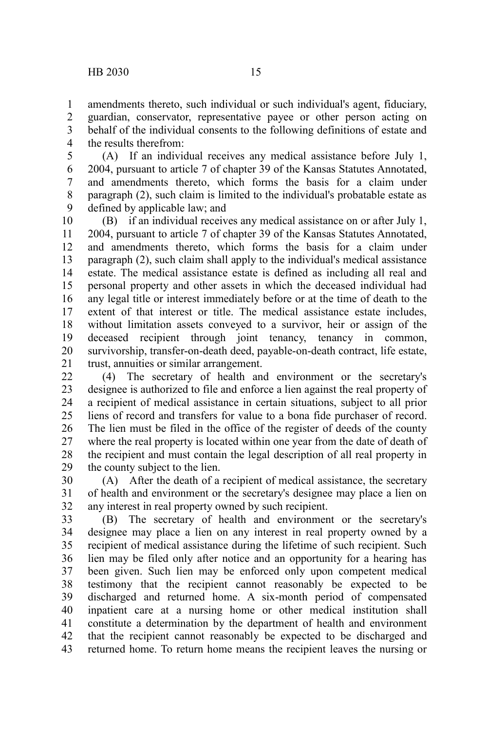amendments thereto, such individual or such individual's agent, fiduciary, guardian, conservator, representative payee or other person acting on behalf of the individual consents to the following definitions of estate and the results therefrom: 1 2 3 4

(A) If an individual receives any medical assistance before July 1, 2004, pursuant to article 7 of chapter 39 of the Kansas Statutes Annotated, and amendments thereto, which forms the basis for a claim under paragraph (2), such claim is limited to the individual's probatable estate as defined by applicable law; and 5 6 7 8 9

(B) if an individual receives any medical assistance on or after July 1, 2004, pursuant to article 7 of chapter 39 of the Kansas Statutes Annotated, and amendments thereto, which forms the basis for a claim under paragraph (2), such claim shall apply to the individual's medical assistance estate. The medical assistance estate is defined as including all real and personal property and other assets in which the deceased individual had any legal title or interest immediately before or at the time of death to the extent of that interest or title. The medical assistance estate includes, without limitation assets conveyed to a survivor, heir or assign of the deceased recipient through joint tenancy, tenancy in common, survivorship, transfer-on-death deed, payable-on-death contract, life estate, trust, annuities or similar arrangement. 10 11 12 13 14 15 16 17 18 19 20 21

(4) The secretary of health and environment or the secretary's designee is authorized to file and enforce a lien against the real property of a recipient of medical assistance in certain situations, subject to all prior liens of record and transfers for value to a bona fide purchaser of record. The lien must be filed in the office of the register of deeds of the county where the real property is located within one year from the date of death of the recipient and must contain the legal description of all real property in the county subject to the lien.  $22$ 23 24 25 26 27 28 29

(A) After the death of a recipient of medical assistance, the secretary of health and environment or the secretary's designee may place a lien on any interest in real property owned by such recipient. 30 31 32

(B) The secretary of health and environment or the secretary's designee may place a lien on any interest in real property owned by a recipient of medical assistance during the lifetime of such recipient. Such lien may be filed only after notice and an opportunity for a hearing has been given. Such lien may be enforced only upon competent medical testimony that the recipient cannot reasonably be expected to be discharged and returned home. A six-month period of compensated inpatient care at a nursing home or other medical institution shall constitute a determination by the department of health and environment that the recipient cannot reasonably be expected to be discharged and returned home. To return home means the recipient leaves the nursing or 33 34 35 36 37 38 39 40 41 42 43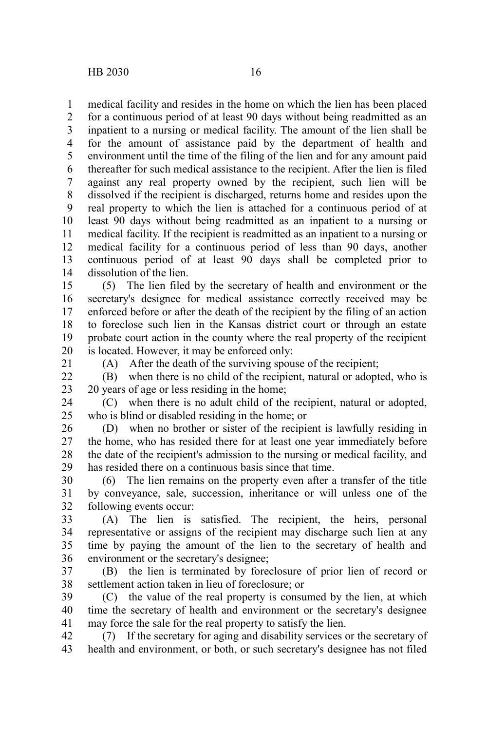medical facility and resides in the home on which the lien has been placed for a continuous period of at least 90 days without being readmitted as an inpatient to a nursing or medical facility. The amount of the lien shall be for the amount of assistance paid by the department of health and environment until the time of the filing of the lien and for any amount paid thereafter for such medical assistance to the recipient. After the lien is filed against any real property owned by the recipient, such lien will be dissolved if the recipient is discharged, returns home and resides upon the real property to which the lien is attached for a continuous period of at least 90 days without being readmitted as an inpatient to a nursing or medical facility. If the recipient is readmitted as an inpatient to a nursing or medical facility for a continuous period of less than 90 days, another continuous period of at least 90 days shall be completed prior to dissolution of the lien. 1 2 3 4 5 6 7 8 9 10 11 12 13 14

(5) The lien filed by the secretary of health and environment or the secretary's designee for medical assistance correctly received may be enforced before or after the death of the recipient by the filing of an action to foreclose such lien in the Kansas district court or through an estate probate court action in the county where the real property of the recipient is located. However, it may be enforced only: 15 16 17 18 19 20

21

(A) After the death of the surviving spouse of the recipient;

(B) when there is no child of the recipient, natural or adopted, who is 20 years of age or less residing in the home;  $22$ 23

(C) when there is no adult child of the recipient, natural or adopted, who is blind or disabled residing in the home; or 24 25

(D) when no brother or sister of the recipient is lawfully residing in the home, who has resided there for at least one year immediately before the date of the recipient's admission to the nursing or medical facility, and has resided there on a continuous basis since that time. 26 27 28 29

(6) The lien remains on the property even after a transfer of the title by conveyance, sale, succession, inheritance or will unless one of the following events occur: 30 31 32

(A) The lien is satisfied. The recipient, the heirs, personal representative or assigns of the recipient may discharge such lien at any time by paying the amount of the lien to the secretary of health and environment or the secretary's designee; 33 34 35 36

(B) the lien is terminated by foreclosure of prior lien of record or settlement action taken in lieu of foreclosure; or 37 38

(C) the value of the real property is consumed by the lien, at which time the secretary of health and environment or the secretary's designee may force the sale for the real property to satisfy the lien. 39 40 41

(7) If the secretary for aging and disability services or the secretary of health and environment, or both, or such secretary's designee has not filed 42 43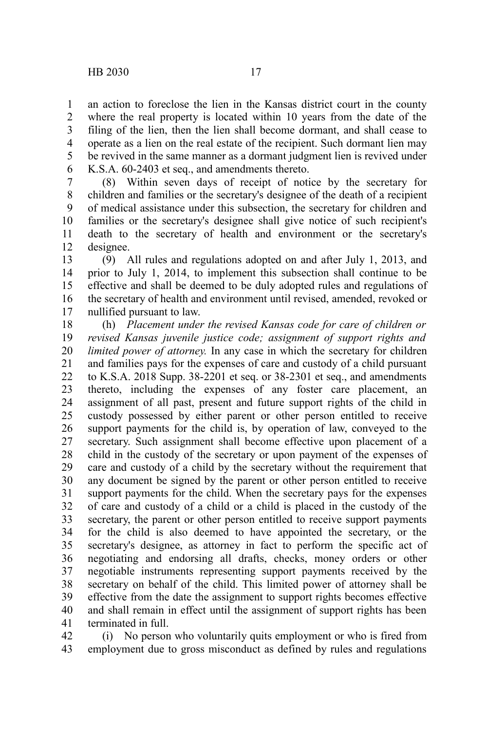an action to foreclose the lien in the Kansas district court in the county where the real property is located within 10 years from the date of the filing of the lien, then the lien shall become dormant, and shall cease to operate as a lien on the real estate of the recipient. Such dormant lien may be revived in the same manner as a dormant judgment lien is revived under K.S.A. 60-2403 et seq., and amendments thereto. 1 2 3 4 5 6

(8) Within seven days of receipt of notice by the secretary for children and families or the secretary's designee of the death of a recipient of medical assistance under this subsection, the secretary for children and families or the secretary's designee shall give notice of such recipient's death to the secretary of health and environment or the secretary's designee. 7 8 9 10 11 12

(9) All rules and regulations adopted on and after July 1, 2013, and prior to July 1, 2014, to implement this subsection shall continue to be effective and shall be deemed to be duly adopted rules and regulations of the secretary of health and environment until revised, amended, revoked or nullified pursuant to law. 13 14 15 16 17

(h) *Placement under the revised Kansas code for care of children or revised Kansas juvenile justice code; assignment of support rights and limited power of attorney.* In any case in which the secretary for children and families pays for the expenses of care and custody of a child pursuant to K.S.A. 2018 Supp. 38-2201 et seq. or 38-2301 et seq., and amendments thereto, including the expenses of any foster care placement, an assignment of all past, present and future support rights of the child in custody possessed by either parent or other person entitled to receive support payments for the child is, by operation of law, conveyed to the secretary. Such assignment shall become effective upon placement of a child in the custody of the secretary or upon payment of the expenses of care and custody of a child by the secretary without the requirement that any document be signed by the parent or other person entitled to receive support payments for the child. When the secretary pays for the expenses of care and custody of a child or a child is placed in the custody of the secretary, the parent or other person entitled to receive support payments for the child is also deemed to have appointed the secretary, or the secretary's designee, as attorney in fact to perform the specific act of negotiating and endorsing all drafts, checks, money orders or other negotiable instruments representing support payments received by the secretary on behalf of the child. This limited power of attorney shall be effective from the date the assignment to support rights becomes effective and shall remain in effect until the assignment of support rights has been terminated in full. 18 19 20 21 22 23 24 25 26 27 28 29 30 31 32 33 34 35 36 37 38 39 40 41

(i) No person who voluntarily quits employment or who is fired from employment due to gross misconduct as defined by rules and regulations 42 43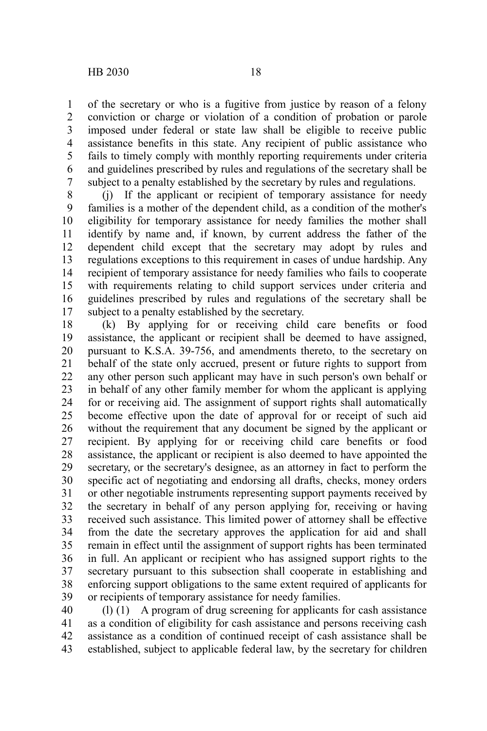of the secretary or who is a fugitive from justice by reason of a felony conviction or charge or violation of a condition of probation or parole imposed under federal or state law shall be eligible to receive public assistance benefits in this state. Any recipient of public assistance who fails to timely comply with monthly reporting requirements under criteria and guidelines prescribed by rules and regulations of the secretary shall be subject to a penalty established by the secretary by rules and regulations. 1 2 3 4 5 6 7

(j) If the applicant or recipient of temporary assistance for needy families is a mother of the dependent child, as a condition of the mother's eligibility for temporary assistance for needy families the mother shall identify by name and, if known, by current address the father of the dependent child except that the secretary may adopt by rules and regulations exceptions to this requirement in cases of undue hardship. Any recipient of temporary assistance for needy families who fails to cooperate with requirements relating to child support services under criteria and guidelines prescribed by rules and regulations of the secretary shall be subject to a penalty established by the secretary. 8 9 10 11 12 13 14 15 16 17

(k) By applying for or receiving child care benefits or food assistance, the applicant or recipient shall be deemed to have assigned, pursuant to K.S.A. 39-756, and amendments thereto, to the secretary on behalf of the state only accrued, present or future rights to support from any other person such applicant may have in such person's own behalf or in behalf of any other family member for whom the applicant is applying for or receiving aid. The assignment of support rights shall automatically become effective upon the date of approval for or receipt of such aid without the requirement that any document be signed by the applicant or recipient. By applying for or receiving child care benefits or food assistance, the applicant or recipient is also deemed to have appointed the secretary, or the secretary's designee, as an attorney in fact to perform the specific act of negotiating and endorsing all drafts, checks, money orders or other negotiable instruments representing support payments received by the secretary in behalf of any person applying for, receiving or having received such assistance. This limited power of attorney shall be effective from the date the secretary approves the application for aid and shall remain in effect until the assignment of support rights has been terminated in full. An applicant or recipient who has assigned support rights to the secretary pursuant to this subsection shall cooperate in establishing and enforcing support obligations to the same extent required of applicants for or recipients of temporary assistance for needy families. 18 19 20 21 22 23 24 25 26 27 28 29 30 31 32 33 34 35 36 37 38 39

(l) (1) A program of drug screening for applicants for cash assistance as a condition of eligibility for cash assistance and persons receiving cash assistance as a condition of continued receipt of cash assistance shall be established, subject to applicable federal law, by the secretary for children 40 41 42 43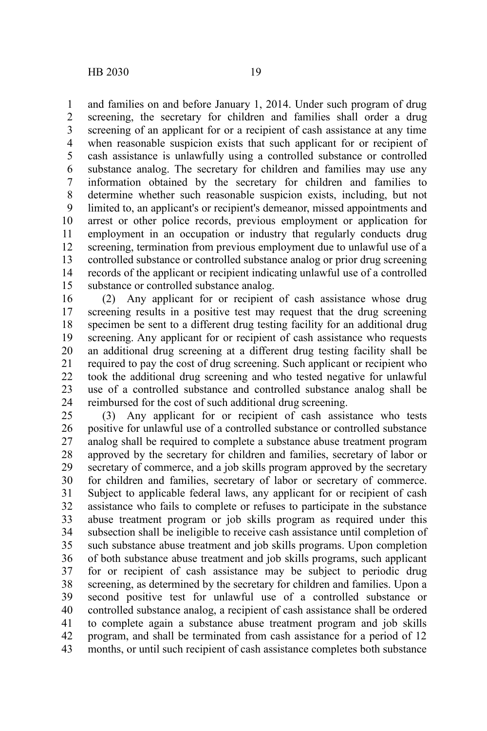and families on and before January 1, 2014. Under such program of drug

screening, the secretary for children and families shall order a drug screening of an applicant for or a recipient of cash assistance at any time when reasonable suspicion exists that such applicant for or recipient of cash assistance is unlawfully using a controlled substance or controlled substance analog. The secretary for children and families may use any information obtained by the secretary for children and families to determine whether such reasonable suspicion exists, including, but not limited to, an applicant's or recipient's demeanor, missed appointments and arrest or other police records, previous employment or application for employment in an occupation or industry that regularly conducts drug screening, termination from previous employment due to unlawful use of a controlled substance or controlled substance analog or prior drug screening records of the applicant or recipient indicating unlawful use of a controlled substance or controlled substance analog. 1 2 3 4 5 6 7 8 9 10 11 12 13 14 15

(2) Any applicant for or recipient of cash assistance whose drug screening results in a positive test may request that the drug screening specimen be sent to a different drug testing facility for an additional drug screening. Any applicant for or recipient of cash assistance who requests an additional drug screening at a different drug testing facility shall be required to pay the cost of drug screening. Such applicant or recipient who took the additional drug screening and who tested negative for unlawful use of a controlled substance and controlled substance analog shall be reimbursed for the cost of such additional drug screening. 16 17 18 19 20 21 22 23 24

(3) Any applicant for or recipient of cash assistance who tests positive for unlawful use of a controlled substance or controlled substance analog shall be required to complete a substance abuse treatment program approved by the secretary for children and families, secretary of labor or secretary of commerce, and a job skills program approved by the secretary for children and families, secretary of labor or secretary of commerce. Subject to applicable federal laws, any applicant for or recipient of cash assistance who fails to complete or refuses to participate in the substance abuse treatment program or job skills program as required under this subsection shall be ineligible to receive cash assistance until completion of such substance abuse treatment and job skills programs. Upon completion of both substance abuse treatment and job skills programs, such applicant for or recipient of cash assistance may be subject to periodic drug screening, as determined by the secretary for children and families. Upon a second positive test for unlawful use of a controlled substance or controlled substance analog, a recipient of cash assistance shall be ordered to complete again a substance abuse treatment program and job skills program, and shall be terminated from cash assistance for a period of 12 months, or until such recipient of cash assistance completes both substance 25 26 27 28 29 30 31 32 33 34 35 36 37 38 39 40 41 42 43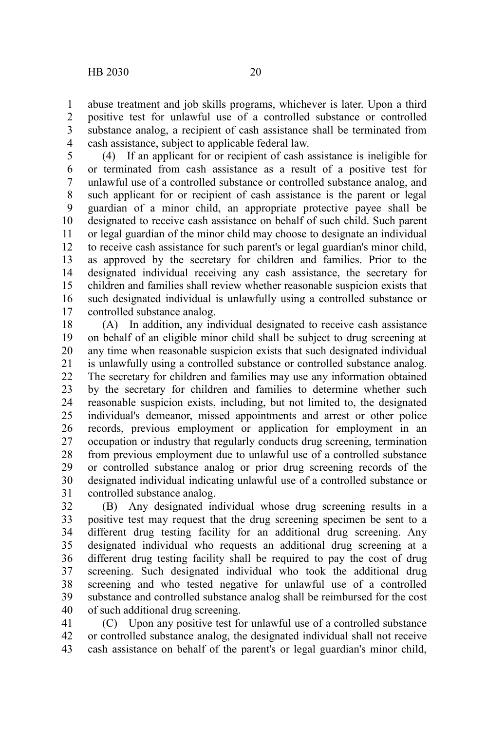abuse treatment and job skills programs, whichever is later. Upon a third positive test for unlawful use of a controlled substance or controlled substance analog, a recipient of cash assistance shall be terminated from cash assistance, subject to applicable federal law. 1 2 3 4

(4) If an applicant for or recipient of cash assistance is ineligible for or terminated from cash assistance as a result of a positive test for unlawful use of a controlled substance or controlled substance analog, and such applicant for or recipient of cash assistance is the parent or legal guardian of a minor child, an appropriate protective payee shall be designated to receive cash assistance on behalf of such child. Such parent or legal guardian of the minor child may choose to designate an individual to receive cash assistance for such parent's or legal guardian's minor child, as approved by the secretary for children and families. Prior to the designated individual receiving any cash assistance, the secretary for children and families shall review whether reasonable suspicion exists that such designated individual is unlawfully using a controlled substance or controlled substance analog. 5 6 7 8 9 10 11 12 13 14 15 16 17

(A) In addition, any individual designated to receive cash assistance on behalf of an eligible minor child shall be subject to drug screening at any time when reasonable suspicion exists that such designated individual is unlawfully using a controlled substance or controlled substance analog. The secretary for children and families may use any information obtained by the secretary for children and families to determine whether such reasonable suspicion exists, including, but not limited to, the designated individual's demeanor, missed appointments and arrest or other police records, previous employment or application for employment in an occupation or industry that regularly conducts drug screening, termination from previous employment due to unlawful use of a controlled substance or controlled substance analog or prior drug screening records of the designated individual indicating unlawful use of a controlled substance or controlled substance analog. 18 19 20 21 22 23 24 25 26 27 28 29 30 31

(B) Any designated individual whose drug screening results in a positive test may request that the drug screening specimen be sent to a different drug testing facility for an additional drug screening. Any designated individual who requests an additional drug screening at a different drug testing facility shall be required to pay the cost of drug screening. Such designated individual who took the additional drug screening and who tested negative for unlawful use of a controlled substance and controlled substance analog shall be reimbursed for the cost of such additional drug screening. 32 33 34 35 36 37 38 39 40

(C) Upon any positive test for unlawful use of a controlled substance or controlled substance analog, the designated individual shall not receive cash assistance on behalf of the parent's or legal guardian's minor child, 41 42 43